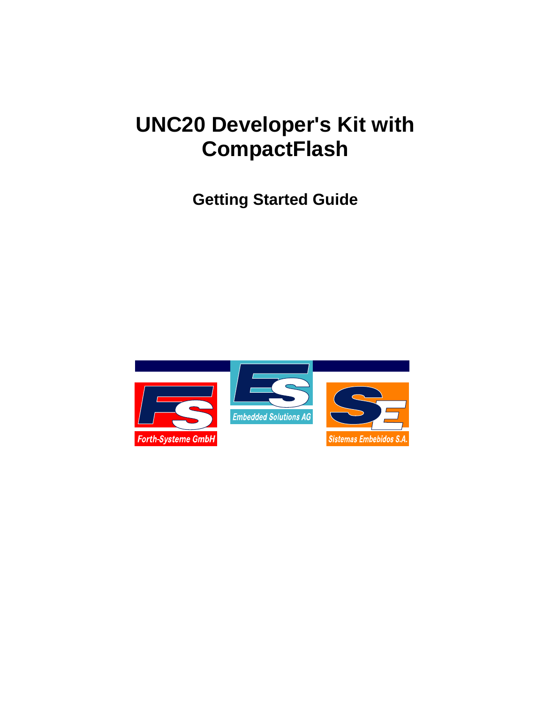# **UNC20 Developer's Kit with CompactFlash**

**Getting Started Guide**

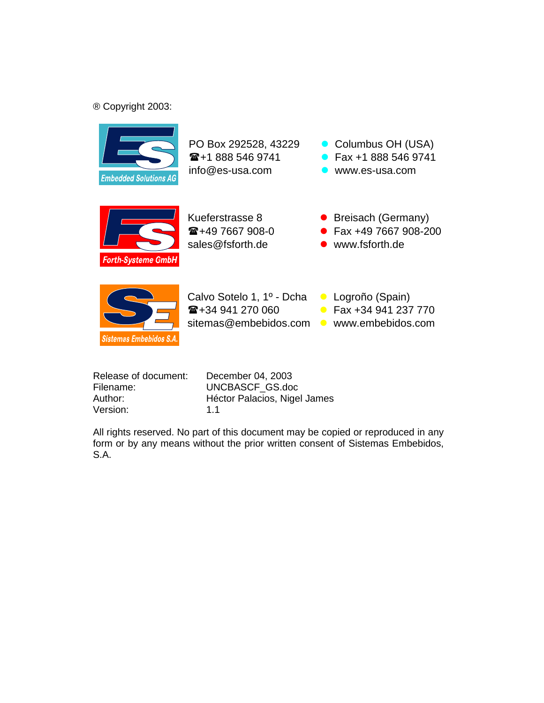#### ® Copyright 2003:



 $\mathbf{E}$ +1 888 546 9741 info@es-usa.com www.es-usa.com

PO Box 292528, 43229 **● Columbus OH (USA)** • Fax +1 888 546 9741



 $\mathbf{E}$ +49 7667 908-0 sales@fsforth.de • www.fsforth.de

- Kueferstrasse 8 **Canadian Care Breisach (Germany)** • Fax +49 7667 908-200
	-
	-



Calvo Sotelo 1, 1º - Dcha **Logroño (Spain)** ☎+34 941 270 060 sitemas@embebidos.com vww.embebidos.com

- 
- Fax +34 941 237 770
	-

| Release of document: | De  |
|----------------------|-----|
| Filename:            | UN  |
| Author:              | Hé  |
| Version:             | 1.1 |

December 04, 2003 UNCBASCF GS.doc Héctor Palacios, Nigel James

All rights reserved. No part of this document may be copied or reproduced in any form or by any means without the prior written consent of Sistemas Embebidos, S.A.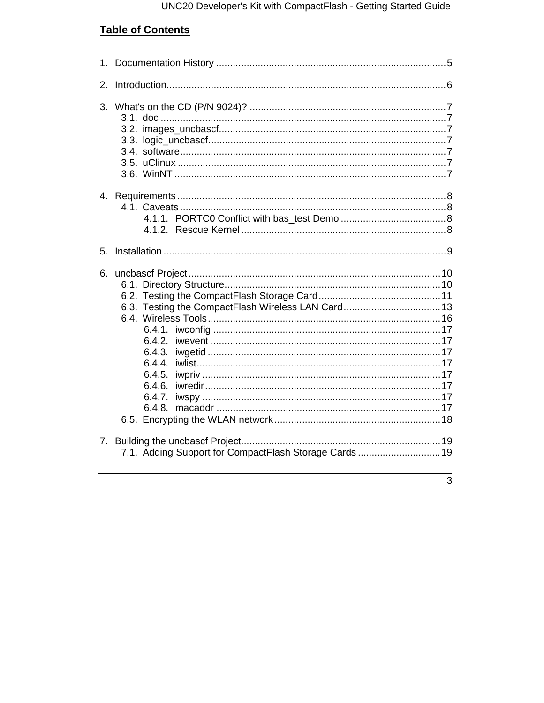# **Table of Contents**

| 2. |                                                                                                                |
|----|----------------------------------------------------------------------------------------------------------------|
| 3. |                                                                                                                |
|    |                                                                                                                |
| 5. |                                                                                                                |
| 6. | 6.3. Testing the CompactFlash Wireless LAN Card 13<br>6.4.3.<br>6.4.4.<br>6.4.5.<br>6.4.6.<br>6.4.7.<br>6.4.8. |
| 7. | 7.1. Adding Support for CompactFlash Storage Cards 19                                                          |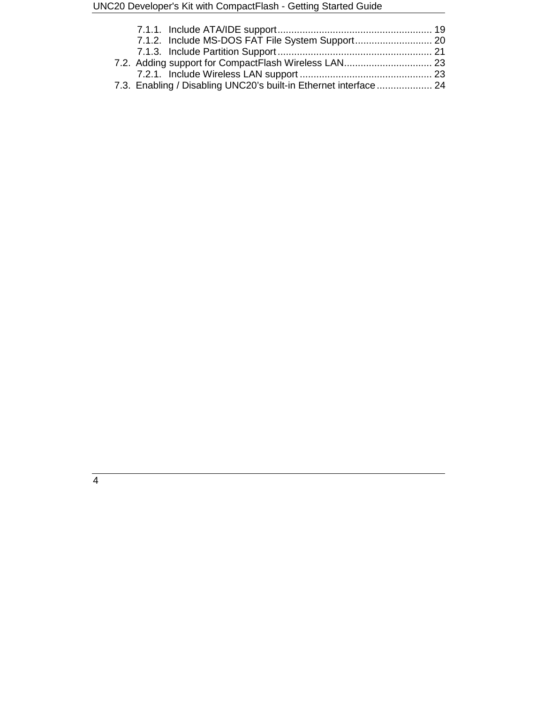| 7.2. Adding support for CompactFlash Wireless LAN 23             |  |
|------------------------------------------------------------------|--|
|                                                                  |  |
| 7.3. Enabling / Disabling UNC20's built-in Ethernet interface 24 |  |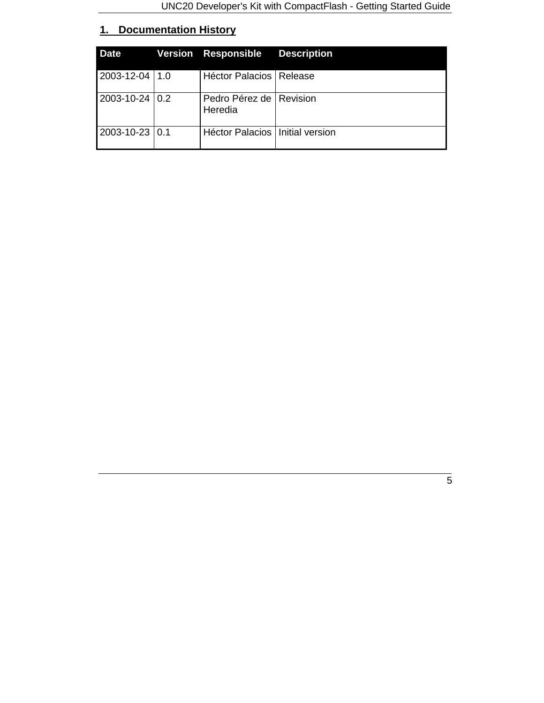# **1. Documentation History**

| <b>Date</b>      | <b>Version Responsible Description</b> |  |
|------------------|----------------------------------------|--|
| 2003-12-04   1.0 | Héctor Palacios   Release              |  |
| 2003-10-24 0.2   | Pedro Pérez de   Revision<br>Heredia   |  |
| 2003-10-23 0.1   | Héctor Palacios   Initial version      |  |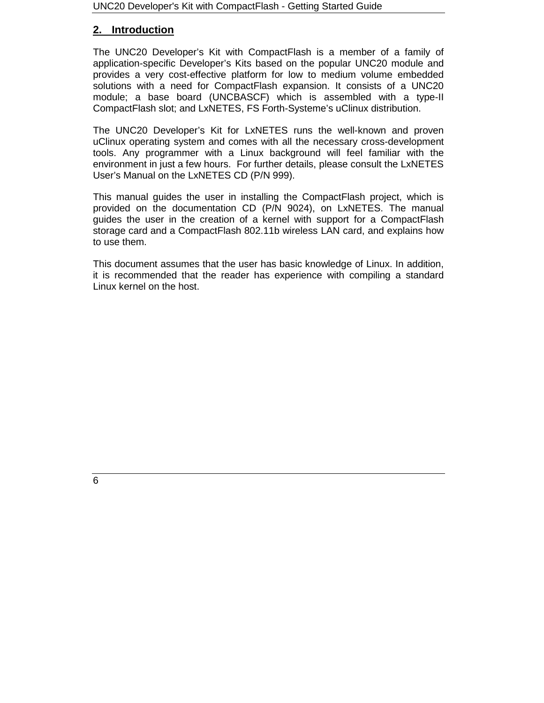# **2. Introduction**

The UNC20 Developer's Kit with CompactFlash is a member of a family of application-specific Developer's Kits based on the popular UNC20 module and provides a very cost-effective platform for low to medium volume embedded solutions with a need for CompactFlash expansion. It consists of a UNC20 module; a base board (UNCBASCF) which is assembled with a type-II CompactFlash slot; and LxNETES, FS Forth-Systeme's uClinux distribution.

The UNC20 Developer's Kit for LxNETES runs the well-known and proven uClinux operating system and comes with all the necessary cross-development tools. Any programmer with a Linux background will feel familiar with the environment in just a few hours. For further details, please consult the LxNETES User's Manual on the LxNETES CD (P/N 999).

This manual guides the user in installing the CompactFlash project, which is provided on the documentation CD (P/N 9024), on LxNETES. The manual guides the user in the creation of a kernel with support for a CompactFlash storage card and a CompactFlash 802.11b wireless LAN card, and explains how to use them.

This document assumes that the user has basic knowledge of Linux. In addition, it is recommended that the reader has experience with compiling a standard Linux kernel on the host.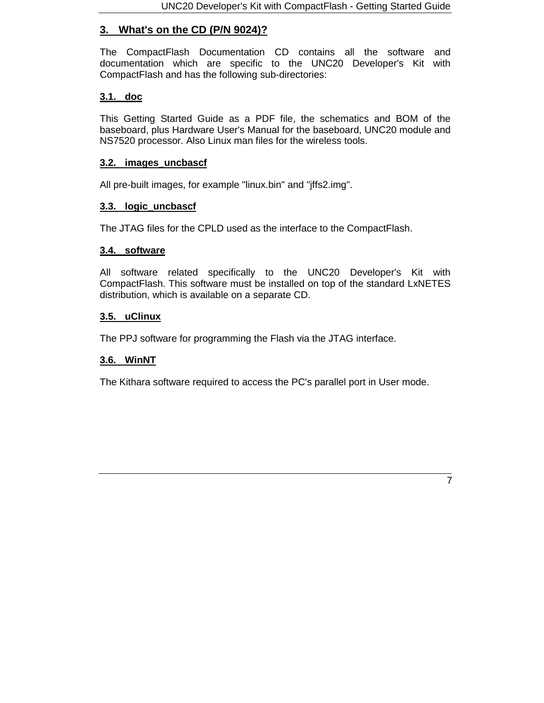# **3. What's on the CD (P/N 9024)?**

The CompactFlash Documentation CD contains all the software and documentation which are specific to the UNC20 Developer's Kit with CompactFlash and has the following sub-directories:

#### **3.1. doc**

This Getting Started Guide as a PDF file, the schematics and BOM of the baseboard, plus Hardware User's Manual for the baseboard, UNC20 module and NS7520 processor. Also Linux man files for the wireless tools.

#### **3.2. images\_uncbascf**

All pre-built images, for example "linux.bin" and "jffs2.img".

#### **3.3. logic\_uncbascf**

The JTAG files for the CPLD used as the interface to the CompactFlash.

#### **3.4. software**

All software related specifically to the UNC20 Developer's Kit with CompactFlash. This software must be installed on top of the standard LxNETES distribution, which is available on a separate CD.

#### **3.5. uClinux**

The PPJ software for programming the Flash via the JTAG interface.

#### **3.6. WinNT**

The Kithara software required to access the PC's parallel port in User mode.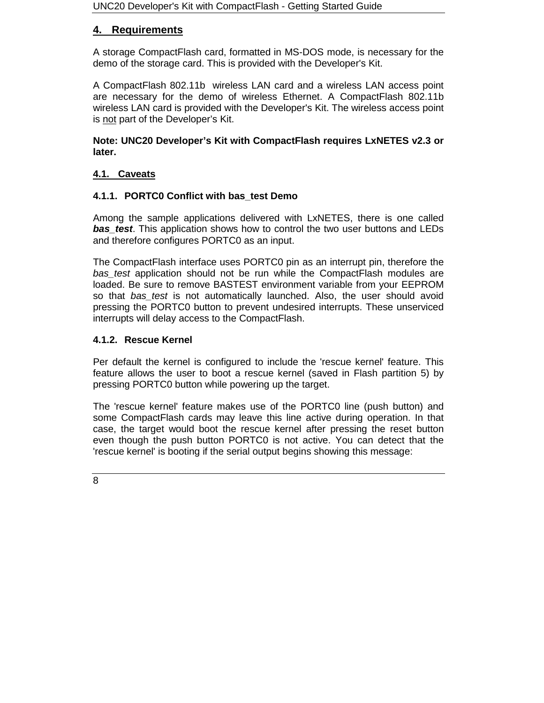# **4. Requirements**

A storage CompactFlash card, formatted in MS-DOS mode, is necessary for the demo of the storage card. This is provided with the Developer's Kit.

A CompactFlash 802.11b wireless LAN card and a wireless LAN access point are necessary for the demo of wireless Ethernet. A CompactFlash 802.11b wireless LAN card is provided with the Developer's Kit. The wireless access point is not part of the Developer's Kit.

**Note: UNC20 Developer's Kit with CompactFlash requires LxNETES v2.3 or later.**

# **4.1. Caveats**

# **4.1.1. PORTC0 Conflict with bas\_test Demo**

Among the sample applications delivered with LxNETES, there is one called *bas test.* This application shows how to control the two user buttons and LEDs and therefore configures PORTC0 as an input.

The CompactFlash interface uses PORTC0 pin as an interrupt pin, therefore the *bas\_test* application should not be run while the CompactFlash modules are loaded. Be sure to remove BASTEST environment variable from your EEPROM so that *bas\_test* is not automatically launched. Also, the user should avoid pressing the PORTC0 button to prevent undesired interrupts. These unserviced interrupts will delay access to the CompactFlash.

# **4.1.2. Rescue Kernel**

Per default the kernel is configured to include the 'rescue kernel' feature. This feature allows the user to boot a rescue kernel (saved in Flash partition 5) by pressing PORTC0 button while powering up the target.

The 'rescue kernel' feature makes use of the PORTC0 line (push button) and some CompactFlash cards may leave this line active during operation. In that case, the target would boot the rescue kernel after pressing the reset button even though the push button PORTC0 is not active. You can detect that the 'rescue kernel' is booting if the serial output begins showing this message: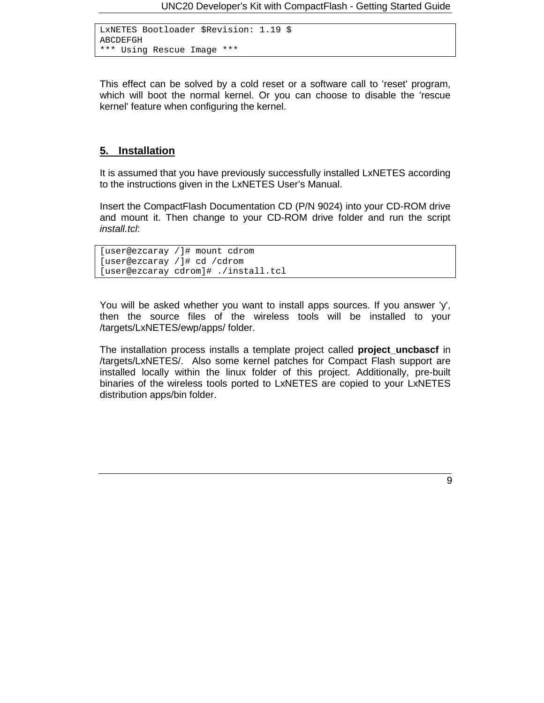```
LxNETES Bootloader $Revision: 1.19 $
ABCDEFGH
*** Using Rescue Image ***
```
This effect can be solved by a cold reset or a software call to 'reset' program, which will boot the normal kernel. Or you can choose to disable the 'rescue kernel' feature when configuring the kernel.

#### **5. Installation**

It is assumed that you have previously successfully installed LxNETES according to the instructions given in the LxNETES User's Manual.

Insert the CompactFlash Documentation CD (P/N 9024) into your CD-ROM drive and mount it. Then change to your CD-ROM drive folder and run the script *install.tcl*:

```
[user@ezcaray /]# mount cdrom
[user@ezcaray /]# cd /cdrom
[user@ezcaray cdrom]# ./install.tcl
```
You will be asked whether you want to install apps sources. If you answer 'y', then the source files of the wireless tools will be installed to your /targets/LxNETES/ewp/apps/ folder.

The installation process installs a template project called **project\_uncbascf** in /targets/LxNETES/. Also some kernel patches for Compact Flash support are installed locally within the linux folder of this project. Additionally, pre-built binaries of the wireless tools ported to LxNETES are copied to your LxNETES distribution apps/bin folder.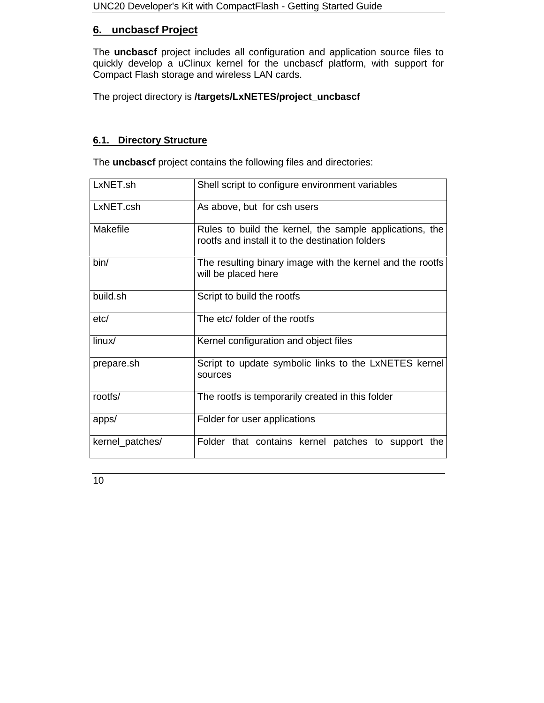# **6. uncbascf Project**

The **uncbascf** project includes all configuration and application source files to quickly develop a uClinux kernel for the uncbascf platform, with support for Compact Flash storage and wireless LAN cards.

The project directory is **/targets/LxNETES/project\_uncbascf**

# **6.1. Directory Structure**

The **uncbascf** project contains the following files and directories:

| LxNET.sh        | Shell script to configure environment variables                                                             |
|-----------------|-------------------------------------------------------------------------------------------------------------|
| LxNET.csh       | As above, but for csh users                                                                                 |
| <b>Makefile</b> | Rules to build the kernel, the sample applications, the<br>rootfs and install it to the destination folders |
| bin/            | The resulting binary image with the kernel and the rootfs<br>will be placed here                            |
| build.sh        | Script to build the rootfs                                                                                  |
| etc/            | The etc/ folder of the rootfs                                                                               |
| linux/          | Kernel configuration and object files                                                                       |
| prepare.sh      | Script to update symbolic links to the LxNETES kernel<br>sources                                            |
| rootfs/         | The rootfs is temporarily created in this folder                                                            |
| apps/           | Folder for user applications                                                                                |
| kernel_patches/ | Folder that contains kernel patches to support the                                                          |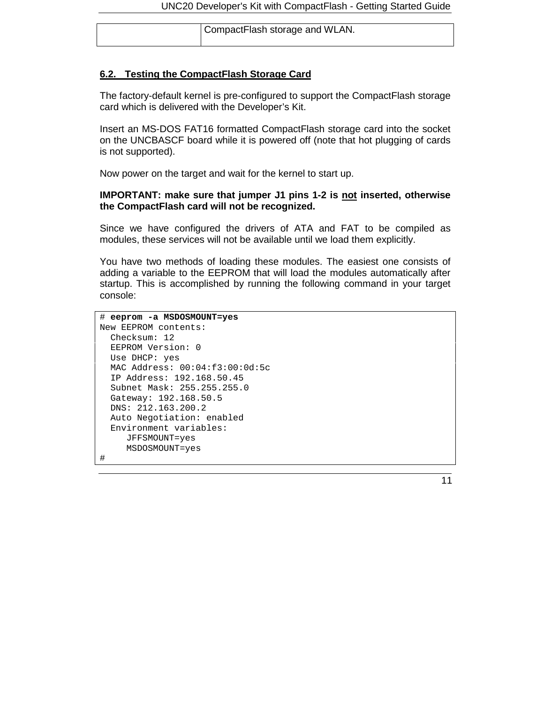| CompactFlash storage and WLAN. |
|--------------------------------|
|                                |

#### **6.2. Testing the CompactFlash Storage Card**

The factory-default kernel is pre-configured to support the CompactFlash storage card which is delivered with the Developer's Kit.

Insert an MS-DOS FAT16 formatted CompactFlash storage card into the socket on the UNCBASCF board while it is powered off (note that hot plugging of cards is not supported).

Now power on the target and wait for the kernel to start up.

#### **IMPORTANT: make sure that jumper J1 pins 1-2 is not inserted, otherwise the CompactFlash card will not be recognized.**

Since we have configured the drivers of ATA and FAT to be compiled as modules, these services will not be available until we load them explicitly.

You have two methods of loading these modules. The easiest one consists of adding a variable to the EEPROM that will load the modules automatically after startup. This is accomplished by running the following command in your target console:

```
# eeprom -a MSDOSMOUNT=yes
New EEPROM contents:
 Checksum: 12
 EEPROM Version: 0
 Use DHCP: yes
 MAC Address: 00:04:f3:00:0d:5c
 IP Address: 192.168.50.45
 Subnet Mask: 255.255.255.0
 Gateway: 192.168.50.5
 DNS: 212.163.200.2
 Auto Negotiation: enabled
 Environment variables:
    JFFSMOUNT=yes
    MSDOSMOUNT=yes
#
```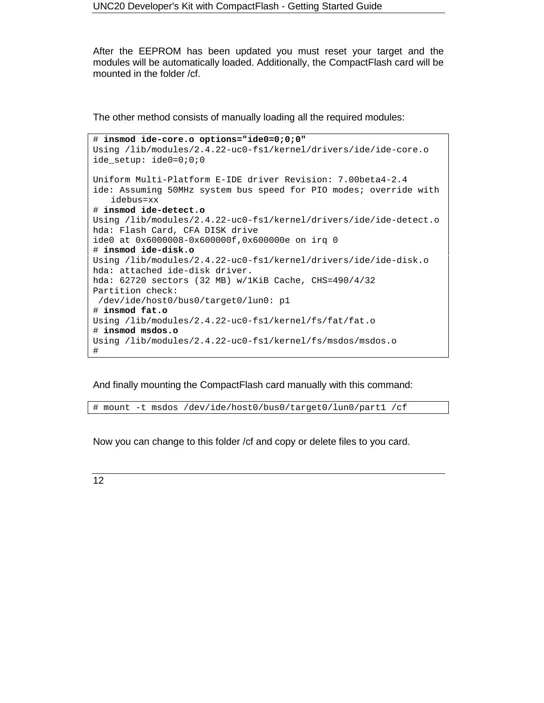After the EEPROM has been updated you must reset your target and the modules will be automatically loaded. Additionally, the CompactFlash card will be mounted in the folder /cf.

The other method consists of manually loading all the required modules:

```
# insmod ide-core.o options="ide0=0;0;0"
Using /lib/modules/2.4.22-uc0-fs1/kernel/drivers/ide/ide-core.o
ide_setup: ide0=0;0;0
Uniform Multi-Platform E-IDE driver Revision: 7.00beta4-2.4
ide: Assuming 50MHz system bus speed for PIO modes; override with
   idebus=xx
# insmod ide-detect.o
Using /lib/modules/2.4.22-uc0-fs1/kernel/drivers/ide/ide-detect.o
hda: Flash Card, CFA DISK drive
ide0 at 0x6000008-0x600000f,0x600000e on irq 0
# insmod ide-disk.o
Using /lib/modules/2.4.22-uc0-fs1/kernel/drivers/ide/ide-disk.o
hda: attached ide-disk driver.
hda: 62720 sectors (32 MB) w/1KiB Cache, CHS=490/4/32
Partition check:
/dev/ide/host0/bus0/target0/lun0: p1
# insmod fat.o
Using /lib/modules/2.4.22-uc0-fs1/kernel/fs/fat/fat.o
# insmod msdos.o
Using /lib/modules/2.4.22-uc0-fs1/kernel/fs/msdos/msdos.o
#
```
And finally mounting the CompactFlash card manually with this command:

# mount -t msdos /dev/ide/host0/bus0/target0/lun0/part1 /cf

Now you can change to this folder /cf and copy or delete files to you card.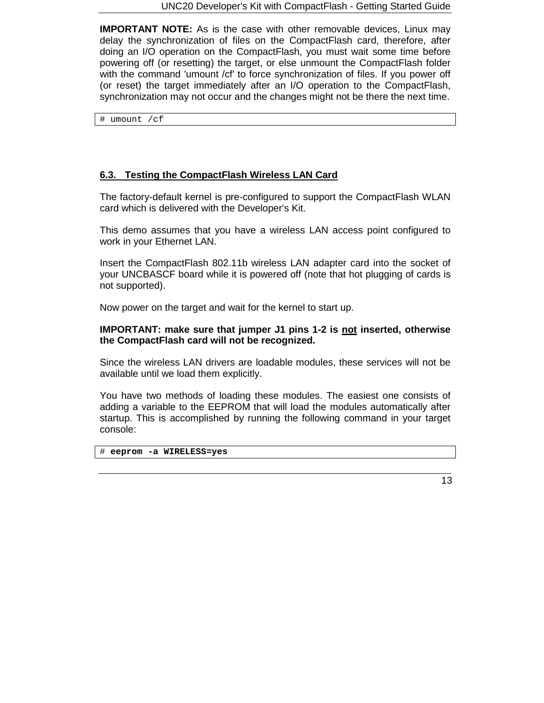**IMPORTANT NOTE:** As is the case with other removable devices, Linux may delay the synchronization of files on the CompactFlash card, therefore, after doing an I/O operation on the CompactFlash, you must wait some time before powering off (or resetting) the target, or else unmount the CompactFlash folder with the command 'umount /cf' to force synchronization of files. If you power off (or reset) the target immediately after an I/O operation to the CompactFlash, synchronization may not occur and the changes might not be there the next time.

# umount /cf

# **6.3. Testing the CompactFlash Wireless LAN Card**

The factory-default kernel is pre-configured to support the CompactFlash WLAN card which is delivered with the Developer's Kit.

This demo assumes that you have a wireless LAN access point configured to work in your Ethernet LAN.

Insert the CompactFlash 802.11b wireless LAN adapter card into the socket of your UNCBASCF board while it is powered off (note that hot plugging of cards is not supported).

Now power on the target and wait for the kernel to start up.

#### **IMPORTANT: make sure that jumper J1 pins 1-2 is not inserted, otherwise the CompactFlash card will not be recognized.**

Since the wireless LAN drivers are loadable modules, these services will not be available until we load them explicitly.

You have two methods of loading these modules. The easiest one consists of adding a variable to the EEPROM that will load the modules automatically after startup. This is accomplished by running the following command in your target console:

# **eeprom -a WIRELESS=yes**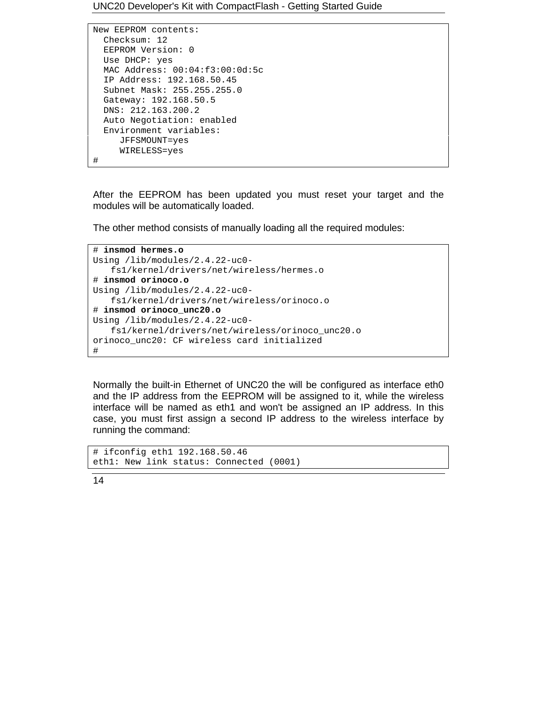UNC20 Developer's Kit with CompactFlash - Getting Started Guide

```
New EEPROM contents:
 Checksum: 12
 EEPROM Version: 0
 Use DHCP: yes
 MAC Address: 00:04:f3:00:0d:5c
 IP Address: 192.168.50.45
 Subnet Mask: 255.255.255.0
 Gateway: 192.168.50.5
 DNS: 212.163.200.2
 Auto Negotiation: enabled
 Environment variables:
    JFFSMOUNT=yes
    WIRELESS=yes
```
#

After the EEPROM has been updated you must reset your target and the modules will be automatically loaded.

The other method consists of manually loading all the required modules:

```
# insmod hermes.o
Using /lib/modules/2.4.22-uc0-
   fs1/kernel/drivers/net/wireless/hermes.o
# insmod orinoco.o
Using /lib/modules/2.4.22-uc0-
   fs1/kernel/drivers/net/wireless/orinoco.o
# insmod orinoco_unc20.o
Using /lib/modules/2.4.22-uc0-
   fs1/kernel/drivers/net/wireless/orinoco_unc20.o
orinoco_unc20: CF wireless card initialized
#
```
Normally the built-in Ethernet of UNC20 the will be configured as interface eth0 and the IP address from the EEPROM will be assigned to it, while the wireless interface will be named as eth1 and won't be assigned an IP address. In this case, you must first assign a second IP address to the wireless interface by running the command:

```
# ifconfig eth1 192.168.50.46
eth1: New link status: Connected (0001)
```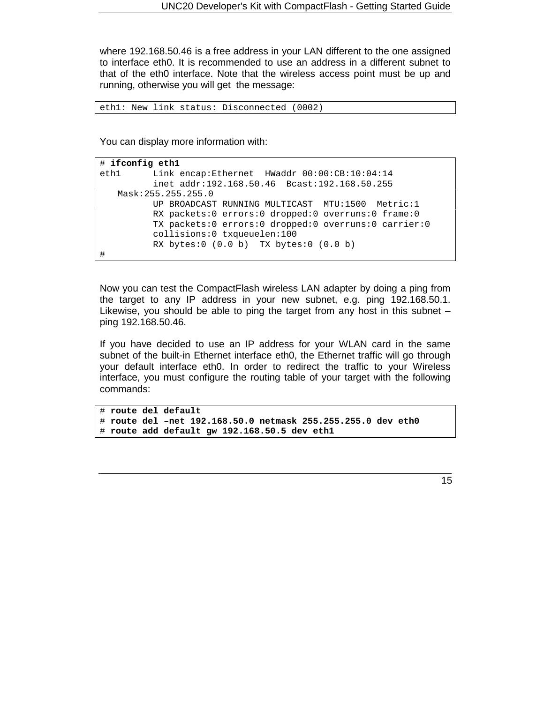where 192.168.50.46 is a free address in your LAN different to the one assigned to interface eth0. It is recommended to use an address in a different subnet to that of the eth0 interface. Note that the wireless access point must be up and running, otherwise you will get the message:

```
eth1: New link status: Disconnected (0002)
```
You can display more information with:

```
# ifconfig eth1
eth1 Link encap:Ethernet HWaddr 00:00:CB:10:04:14
         inet addr:192.168.50.46 Bcast:192.168.50.255
   Mask:255.255.255.0
         UP BROADCAST RUNNING MULTICAST MTU:1500 Metric:1
         RX packets:0 errors:0 dropped:0 overruns:0 frame:0
         TX packets:0 errors:0 dropped:0 overruns:0 carrier:0
         collisions:0 txqueuelen:100
         RX bytes:0 (0.0 b) TX bytes:0 (0.0 b)
#
```
Now you can test the CompactFlash wireless LAN adapter by doing a ping from the target to any IP address in your new subnet, e.g. ping 192.168.50.1. Likewise, you should be able to ping the target from any host in this subnet – ping 192.168.50.46.

If you have decided to use an IP address for your WLAN card in the same subnet of the built-in Ethernet interface eth0, the Ethernet traffic will go through your default interface eth0. In order to redirect the traffic to your Wireless interface, you must configure the routing table of your target with the following commands:

```
# route del default
# route del –net 192.168.50.0 netmask 255.255.255.0 dev eth0
# route add default gw 192.168.50.5 dev eth1
```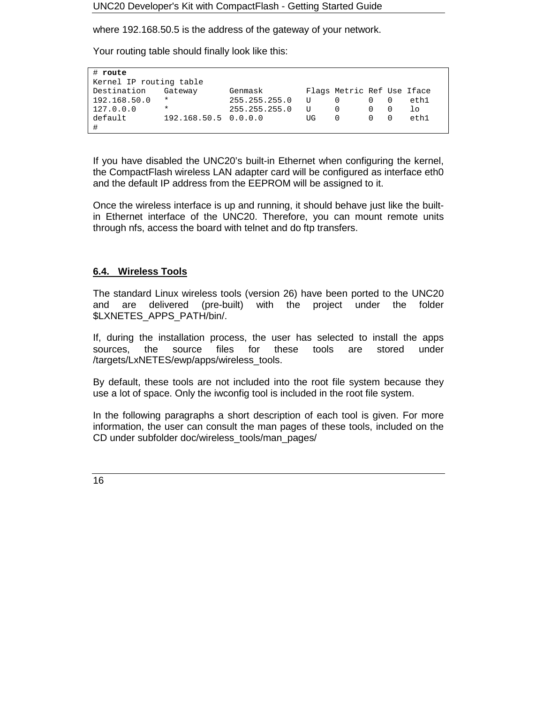where 192.168.50.5 is the address of the gateway of your network.

Your routing table should finally look like this:

| $#$ route               |                      |               |    |                            |  |         |
|-------------------------|----------------------|---------------|----|----------------------------|--|---------|
|                         |                      |               |    |                            |  |         |
| Kernel IP routing table |                      |               |    |                            |  |         |
| Destination             | Gateway              | Genmask       |    | Flags Metric Ref Use Iface |  |         |
| 192.168.50.0            | $\ast$               | 255.255.255.0 | U  | $\Omega$                   |  | eth1    |
| 127.0.0.0               | $^\star$             | 255.255.255.0 | U  | $\Omega$                   |  | $\perp$ |
| default                 | 192.168.50.5 0.0.0.0 |               | UG | $\Omega$                   |  | eth1    |
| #                       |                      |               |    |                            |  |         |

If you have disabled the UNC20's built-in Ethernet when configuring the kernel, the CompactFlash wireless LAN adapter card will be configured as interface eth0 and the default IP address from the EEPROM will be assigned to it.

Once the wireless interface is up and running, it should behave just like the builtin Ethernet interface of the UNC20. Therefore, you can mount remote units through nfs, access the board with telnet and do ftp transfers.

#### **6.4. Wireless Tools**

The standard Linux wireless tools (version 26) have been ported to the UNC20 and are delivered (pre-built) with the project under the folder \$LXNETES\_APPS\_PATH/bin/.

If, during the installation process, the user has selected to install the apps sources, the source files for these tools are stored under /targets/LxNETES/ewp/apps/wireless\_tools.

By default, these tools are not included into the root file system because they use a lot of space. Only the iwconfig tool is included in the root file system.

In the following paragraphs a short description of each tool is given. For more information, the user can consult the man pages of these tools, included on the CD under subfolder doc/wireless\_tools/man\_pages/

16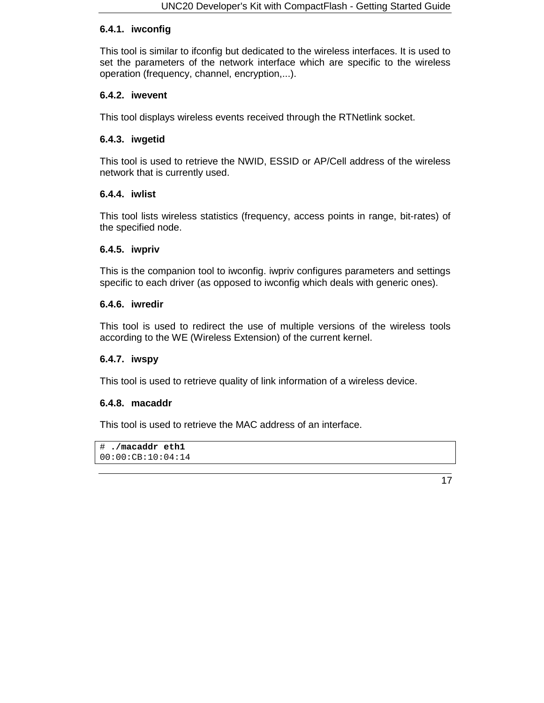#### **6.4.1. iwconfig**

This tool is similar to ifconfig but dedicated to the wireless interfaces. It is used to set the parameters of the network interface which are specific to the wireless operation (frequency, channel, encryption,...).

#### **6.4.2. iwevent**

This tool displays wireless events received through the RTNetlink socket.

#### **6.4.3. iwgetid**

This tool is used to retrieve the NWID, ESSID or AP/Cell address of the wireless network that is currently used.

#### **6.4.4. iwlist**

This tool lists wireless statistics (frequency, access points in range, bit-rates) of the specified node.

#### **6.4.5. iwpriv**

This is the companion tool to iwconfig. iwpriv configures parameters and settings specific to each driver (as opposed to iwconfig which deals with generic ones).

#### **6.4.6. iwredir**

This tool is used to redirect the use of multiple versions of the wireless tools according to the WE (Wireless Extension) of the current kernel.

#### **6.4.7. iwspy**

This tool is used to retrieve quality of link information of a wireless device.

#### **6.4.8. macaddr**

This tool is used to retrieve the MAC address of an interface.

```
# ./macaddr eth1
00:00:CB:10:04:14
```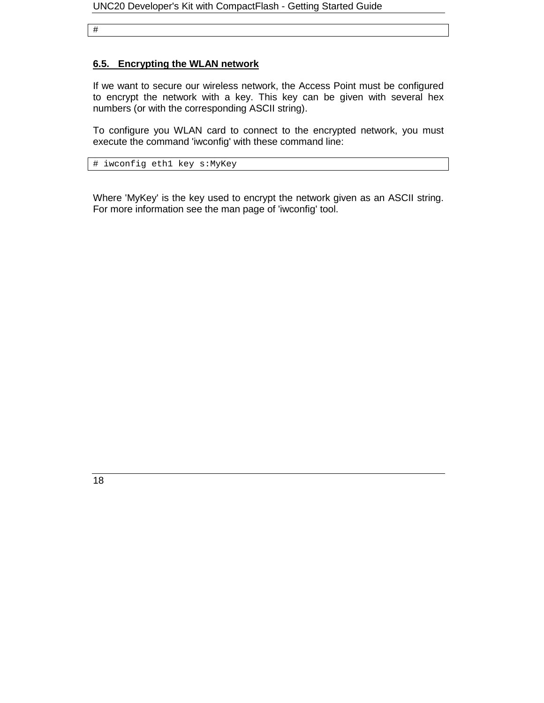#

#### **6.5. Encrypting the WLAN network**

If we want to secure our wireless network, the Access Point must be configured to encrypt the network with a key. This key can be given with several hex numbers (or with the corresponding ASCII string).

To configure you WLAN card to connect to the encrypted network, you must execute the command 'iwconfig' with these command line:

# iwconfig eth1 key s:MyKey

Where 'MyKey' is the key used to encrypt the network given as an ASCII string. For more information see the man page of 'iwconfig' tool.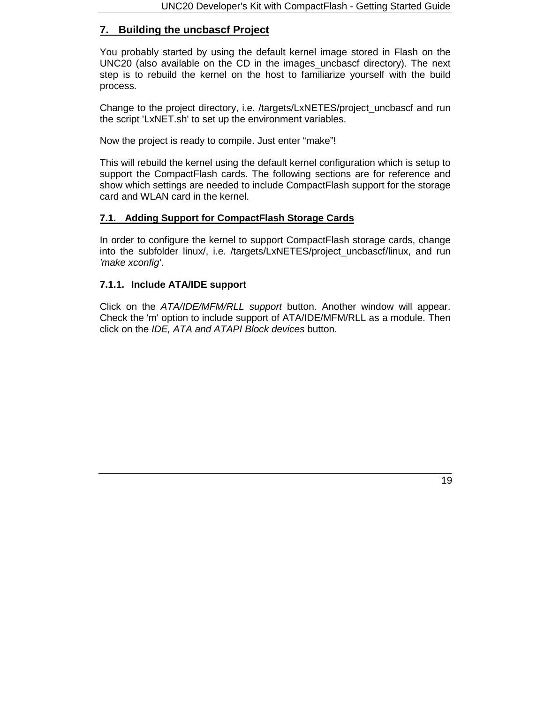# **7. Building the uncbascf Project**

You probably started by using the default kernel image stored in Flash on the UNC20 (also available on the CD in the images\_uncbascf directory). The next step is to rebuild the kernel on the host to familiarize yourself with the build process.

Change to the project directory, i.e. /targets/LxNETES/project\_uncbascf and run the script 'LxNET.sh' to set up the environment variables.

Now the project is ready to compile. Just enter "make"!

This will rebuild the kernel using the default kernel configuration which is setup to support the CompactFlash cards. The following sections are for reference and show which settings are needed to include CompactFlash support for the storage card and WLAN card in the kernel.

## **7.1. Adding Support for CompactFlash Storage Cards**

In order to configure the kernel to support CompactFlash storage cards, change into the subfolder linux/, i.e. /targets/LxNETES/project uncbascf/linux, and run *'make xconfig'*.

#### **7.1.1. Include ATA/IDE support**

Click on the *ATA/IDE/MFM/RLL support* button. Another window will appear. Check the 'm' option to include support of ATA/IDE/MFM/RLL as a module. Then click on the *IDE, ATA and ATAPI Block devices* button.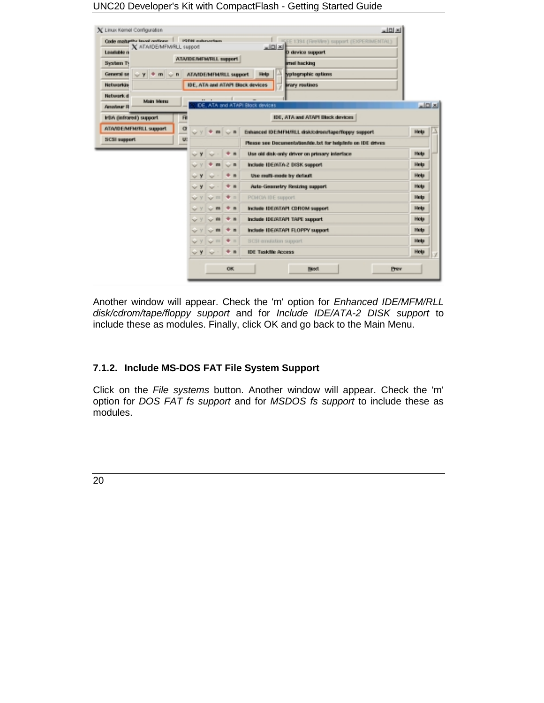| Code maturity level onlines   FORR milesvriers<br>X ATANDEMEN/RLL support |          |          |             |                           | E EE 1394 (FireWre) support (EXPERIMENTAL)<br> z              |       |  |
|---------------------------------------------------------------------------|----------|----------|-------------|---------------------------|---------------------------------------------------------------|-------|--|
| Leadable n<br>System Ty                                                   |          |          |             | ATAIDEMFMRLL support      | D device support<br>mel hacking                               |       |  |
| $y$ $\neq$ m $\cup$ n<br>General se                                       |          |          |             | ATANDENIFM/RLL support    | <b>Nategraphic options</b><br>Help                            |       |  |
| <b>Networkin</b>                                                          |          |          |             |                           | IDE, ATA and ATAPI Block devices<br>irary routines            |       |  |
| <b>Network d</b><br><b>Main Meras</b><br><b>Amodesur R</b>                |          |          |             | and the state of the con- | IDE, ATA and ATAPI Block devices                              | x     |  |
| IrDA (infrared) support                                                   | 府        |          |             |                           | IDE, ATA and ATAPI Block devices                              |       |  |
| ATA/IDE/MFM/RLL support                                                   | $\sigma$ |          |             |                           | Enhanced IDE/MFM/RLL disk/cdren/lape/floppy support           | Help  |  |
| <b>SCSI support</b>                                                       | U.       |          |             |                           | Please see Documentwisenfide.txt for heigdinfo on IDE drives: |       |  |
|                                                                           |          | $\vee$ y |             | $+ n$                     | Use old disk-only driver on primary interface                 | Hiela |  |
|                                                                           |          |          | m           | No. III                   | Include IDEMTA-2 DISK support                                 | Hinto |  |
|                                                                           |          | $\sim$ Y |             | $+ n$                     | Use multi-mode by default                                     | Hielp |  |
|                                                                           |          | $\sim$ Y | w           | $+ 1$                     | Auto-Geometry Restring support                                | Hielp |  |
|                                                                           |          | v        | m<br>w      | $+ -$                     | PCMCIA IDE support.                                           | Hielo |  |
|                                                                           |          | v        | $\sim n$    | $+$ $-$                   | Include IDEMTAPI CDROM support                                | Help  |  |
|                                                                           |          |          | $\sim$ fit  | + =                       | Include IDEOATAPI TAPE support                                | Hota  |  |
|                                                                           |          | Nr V     | $\sim$ m    | $+ n$                     | Include IDEOTAPI FLOPPY support                               | Hicks |  |
|                                                                           |          | $\vee$   | <b>WILL</b> | $+11$                     | 3 C31 emulation support                                       | Help  |  |
|                                                                           |          | $\sim$ Y | w           | $+ n$                     | <b>IDE Taskfile Access</b>                                    | Hielp |  |

Another window will appear. Check the 'm' option for *Enhanced IDE/MFM/RLL disk/cdrom/tape/floppy support* and for *Include IDE/ATA-2 DISK support* to include these as modules. Finally, click OK and go back to the Main Menu.

# **7.1.2. Include MS-DOS FAT File System Support**

Click on the *File systems* button. Another window will appear. Check the 'm' option for *DOS FAT fs support* and for *MSDOS fs support* to include these as modules.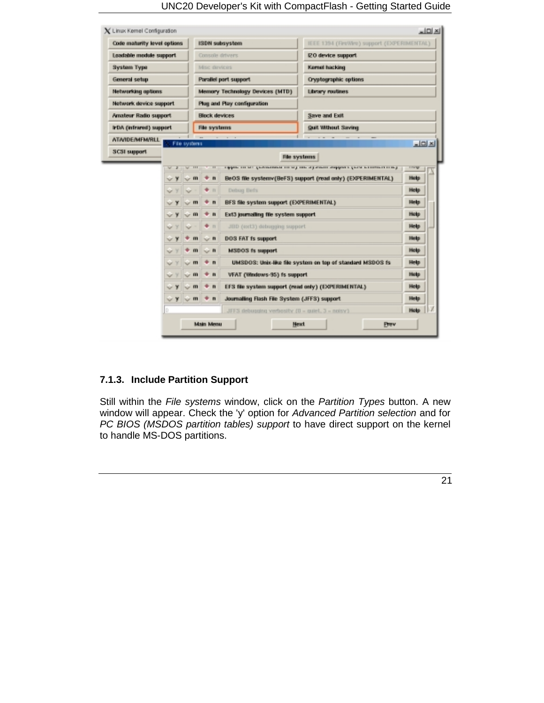| Code maturity level options |                   |                  |                 | ISDN subsystem                                     | IEEE 1394 (FireWire) support (EXPERIMENTAL)                                                             |             |  |  |  |
|-----------------------------|-------------------|------------------|-----------------|----------------------------------------------------|---------------------------------------------------------------------------------------------------------|-------------|--|--|--|
| Loadable module support     |                   |                  | Console drivers |                                                    | IZO device support                                                                                      |             |  |  |  |
| <b>System Type</b>          |                   |                  | Misc devices    |                                                    | Kemel hacking                                                                                           |             |  |  |  |
| General setup               |                   |                  |                 | Parallel part support                              | Cryptographic options                                                                                   |             |  |  |  |
| <b>Networking options</b>   |                   |                  |                 | Memory Technology Devices (MTD)                    | <b>Library routines</b>                                                                                 |             |  |  |  |
| Network device support      |                   |                  |                 | <b>Plug and Play configuration</b>                 |                                                                                                         |             |  |  |  |
| Amateur Radio support       |                   |                  | Block devices   |                                                    | <b>Save and Exit</b>                                                                                    |             |  |  |  |
| IrDA (infrared) support     |                   |                  | File systems    |                                                    | <b>Guil Without Saving</b>                                                                              |             |  |  |  |
| <b>ATAIDE/MEM/RLL</b>       |                   | File systems     |                 |                                                    |                                                                                                         | $-121X$     |  |  |  |
| <b>SCSI support</b>         |                   |                  |                 |                                                    | File systems                                                                                            |             |  |  |  |
|                             |                   | $\overline{111}$ | $\overline{11}$ |                                                    | a gapatan dan batil gandungangkan dan bagi dalam oligi olimpakan olingapun biginal berkenakan dan bangi | 1144        |  |  |  |
|                             | ۷                 | $\sim$ m         | $+ n$           |                                                    | BeOS file systemv(BeFS) support (read only) (EXPERIMENTAL)                                              | Help        |  |  |  |
|                             | v                 | w                | $+11$           | Debug Defs                                         |                                                                                                         | Help        |  |  |  |
|                             | $\sim$ Y          | $\sim$ m         | $+ n$           | BFS file system support (EXPERIMENTAL)             |                                                                                                         | Help        |  |  |  |
|                             | $\sim$ Y          | $\sim$ m         | $+ n$           | Ext3 journaling file system support                |                                                                                                         | Help        |  |  |  |
|                             | v<br>w            |                  | $+ n$           | JBD (ext3) debugging support                       |                                                                                                         | <b>Help</b> |  |  |  |
|                             | $\sim$ Y          | $+ m$            | $\sim$ n        | DOS FAT Is support                                 |                                                                                                         | <b>Help</b> |  |  |  |
|                             | $ +$              | $+m$             | $\sim$ 11       | MSDOS fs support                                   |                                                                                                         | Help        |  |  |  |
|                             | Y                 | $\sim$ m         | $+ n$           |                                                    | UMSDOS: Unix-like file system on top of standard MSDOS fs                                               | Help        |  |  |  |
|                             | <b>NY</b> Y       | $\sim$ m         | $+ n$           | VFAT (Windows-95) is support                       |                                                                                                         | Help        |  |  |  |
|                             | $-9$              | $\sim$ m         | $+ n$           | EFS file system support (read only) (EXPERIMENTAL) |                                                                                                         | <b>Help</b> |  |  |  |
|                             |                   |                  |                 | Journalling Flash File System (JFFS) support       |                                                                                                         | Help        |  |  |  |
|                             | $\vee$ Y $\vee$ m |                  | $+ n$           |                                                    |                                                                                                         |             |  |  |  |

# **7.1.3. Include Partition Support**

Still within the *File systems* window, click on the *Partition Types* button. A new window will appear. Check the 'y' option for *Advanced Partition selection* and for *PC BIOS (MSDOS partition tables) support* to have direct support on the kernel to handle MS-DOS partitions.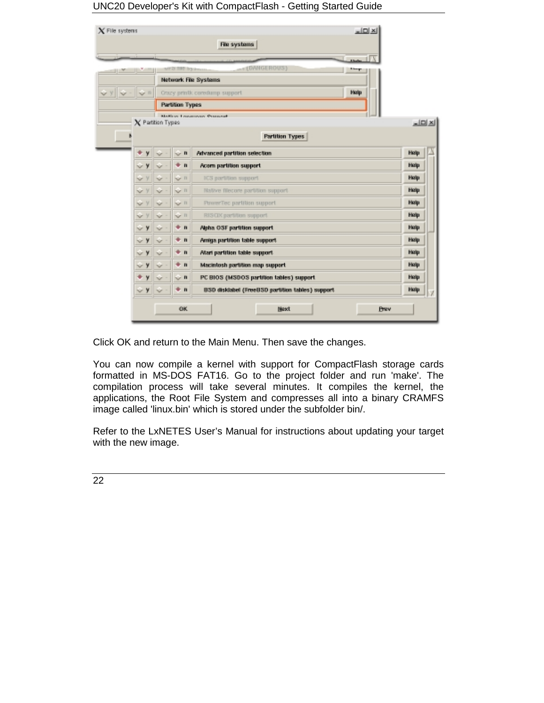UNC20 Developer's Kit with CompactFlash - Getting Started Guide

| $\boldsymbol{\chi}$ File systems |        |                         | $\Box$ Dixi<br>File systems              |                                                                          |
|----------------------------------|--------|-------------------------|------------------------------------------|--------------------------------------------------------------------------|
|                                  |        |                         |                                          |                                                                          |
|                                  |        | <b>MAS USE PARATION</b> | A المعملا<br>+ (DANGEROUS)               |                                                                          |
|                                  |        |                         | <b>Network File Systems</b>              |                                                                          |
| ⊪∿<br>$\mathbf{v}$ =             |        |                         | Hielp<br>Orazy printk coredump support   |                                                                          |
|                                  |        | <b>Partition Types</b>  |                                          |                                                                          |
|                                  |        |                         | <b>MARINE LOWEROUS PERSONAL</b>          |                                                                          |
| X Patition Types                 |        |                         |                                          | 트리지                                                                      |
|                                  |        |                         | <b>Partition Types</b>                   |                                                                          |
| ۰<br>y                           |        | $\sim$ n                | Advanced partition selection             | Hielip                                                                   |
|                                  |        |                         |                                          |                                                                          |
| $\sim$ Y                         | $\sim$ | $+ n$                   | Acom partition support                   | Help                                                                     |
| v<br>v                           | v      | $\vee$ 11               | ICS partition support.                   |                                                                          |
| v<br>$\sim$                      | $\sim$ | $V = 11$                | Native filecore partition support.       |                                                                          |
| ٧<br>v                           | v      | See 11                  | PowerTec partition support               |                                                                          |
| v                                | $\sim$ | $\vee$ 11               | RISOX partition support                  |                                                                          |
| $\sim$ Y                         | $\sim$ | $+ n$                   | Alpha OSF partition support              |                                                                          |
| $\sim$ Y                         | w      | $+ n$                   | Amiga partition table support            |                                                                          |
| y<br>$\sim$                      | w      | $+ n$                   | Atari partition table support.           |                                                                          |
| у<br>$\checkmark$                | v      | $+ n$                   | Macintosh partition map support          |                                                                          |
| y                                | $\sim$ | $\sim$ n                | PC BIOS (MSDOS partition tables) support | Help<br>Help<br>Hielip<br>Hielp<br>Help<br>Help<br>Hielp<br>Help<br>Help |

Click OK and return to the Main Menu. Then save the changes.

You can now compile a kernel with support for CompactFlash storage cards formatted in MS-DOS FAT16. Go to the project folder and run 'make'. The compilation process will take several minutes. It compiles the kernel, the applications, the Root File System and compresses all into a binary CRAMFS image called 'linux.bin' which is stored under the subfolder bin/.

Refer to the LxNETES User's Manual for instructions about updating your target with the new image.

22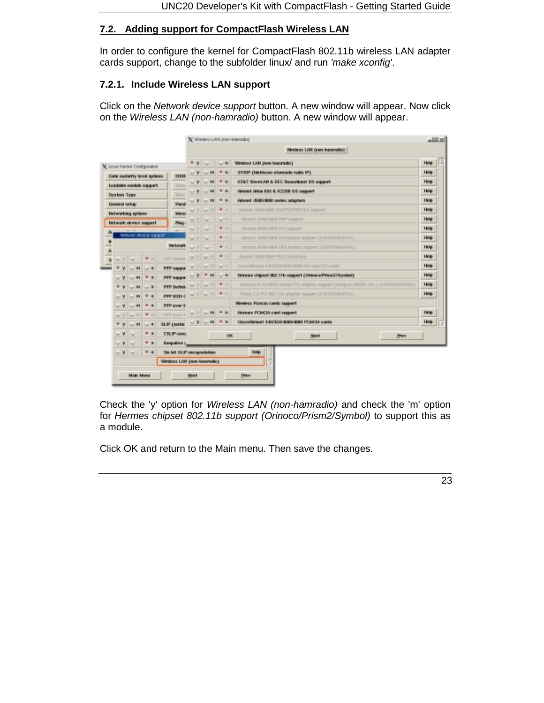## **7.2. Adding support for CompactFlash Wireless LAN**

In order to configure the kernel for CompactFlash 802.11b wireless LAN adapter cards support, change to the subfolder linux/ and run *'make xconfig'*.

#### **7.2.1. Include Wireless LAN support**

Click on the *Network device support* button. A new window will appear. Now click on the *Wireless LAN (non-hamradio)* button. A new window will appear.

|                                          |                            |          |                          |                   | X Vineless LAN (non-hamsabo)                                                     | $\underline{\text{min}}$ |
|------------------------------------------|----------------------------|----------|--------------------------|-------------------|----------------------------------------------------------------------------------|--------------------------|
|                                          |                            |          |                          |                   | Viheless LAN (nen-haramatie)                                                     |                          |
| $X$ Linux Karnel Configuration           |                            | $x - y$  | <b>Karl</b>              | $\sim$ B          | Wreters LAN (non-hourande)                                                       | Hole                     |
| Code motority level spitoes              | 1504                       | $\vee$ Y | $\sim$                   | $+ n$             | STRIP (Melmoun stampele radio IP).                                               | <b>Help</b>              |
| Loadskie medale support                  | <b>Carva</b>               | $\sim$ Y | <b>Text</b>              | $+ n$             | ATAT WaveLAN & DEC Rases/bout DS support                                         | Hole:                    |
| <b>System Type</b>                       | Mitsy                      | w        |                          | $+ n$             | Airwell Arlian 655 & IC2208 D S support                                          | Help                     |
| General setup                            | <b>Parol</b>               | w        |                          | ٠<br>$\mathbf{r}$ | Airport (SOD) 9900 centes adapters                                               | Holp                     |
| Networking options                       | <b>Marn</b>                |          |                          | $+11$             | Aircraft 4500/4000 ISA/PC//FMPO65 support                                        | Help                     |
| <b>Network</b> device support            | Play                       | w        | w                        | San Til           | Aircraft \$500/4000 PHP support                                                  | Holp                     |
|                                          | ٠<br><b>Take</b>           | w        | w                        | $+11$             | Aircraft 4500/4000 PCI support                                                   | Help                     |
| Network device support                   |                            | W 3'     | w                        | $+ n$             | AROUNT 4500/4000 TSA broken support (EXPERIMENTAL)                               | Help                     |
| Ľ                                        | Network                    | w        | w                        | + n               | Aircraft 4500/4000 EXS broken support (EXPERIMENTAL)                             | Holp                     |
| B<br>* =<br>WY Y<br><b>Not</b>           | <b>PPP filteria</b>        |          | <b>VY VII</b>            | 中山                | Alexand ANDIANOU PROC interface                                                  | Help                     |
| ٠<br>$\sim$ 8<br>$\mathbf{m}$            | <b>FFF</b> suppor          |          | V 3 V III V II           |                   | Geography and 3-842530 (\$80, \$900 15A and PCI cards)                           | Hole:                    |
| * *<br>$\overline{m}$<br>$ \gamma$       | <b>PPP</b> suppor          |          | $+$ $-$                  | $\sim$ 0.         | Hermes chipsel 802.11b support (Orinoca/Prism2/Symbol)                           | Help                     |
| $\mathbf{m}$<br>$\sim$ 8                 | <b>PPP Definit</b>         |          | $y \sim m$               | $+ n$             | Hermes in PLX80S2 Issued PCI adaptor support (Helgeor MADIH etc.) (ENFERMENTIVE) | Help:                    |
| <b>+ a</b><br>$\mathbf{m}$<br>w ¥        | <b>PPP BSD-C</b>           |          | $V$ $V$ $V$ $n$ $4n$     |                   | Prism 2.5 PCI 802.11b infigular support (E)/PETIMENTAL)                          | Help                     |
| $+$ $+$<br><b>Car 99</b><br>$-7$         | <b>PPP over E</b>          |          |                          |                   | Wireless Ponicia cards support                                                   |                          |
| <b>+ =</b><br>W III<br><b>WY</b>         | <b>FFF</b> cont A          |          | $V$ $V$ $\sim$ $m$ $+ n$ |                   | Hennes POAGA card support                                                        | Holp                     |
| tor #1<br>٠<br>$\mathcal{F}$<br>$\sim$ 8 | <b>SLIP</b> (portal)       | $\vee$ y | W.B.                     | ٠<br>$\mathbf{r}$ | Genetical LEVENSBO/BBI FORCA cares                                               | Help                     |
| <br>$\sim$ Y                             | <b>CSLIP</b> come          |          |                          | OK.               | <b>Prew</b><br><b>Back</b>                                                       |                          |
| $+1$<br>wY<br>w                          | Клоройна з                 |          |                          |                   |                                                                                  |                          |
| $+ 1$<br>$\sim$ Y<br>w                   | Six bit SLIP encapsulation |          |                          |                   | Holp                                                                             |                          |
|                                          | Wrekes LAN (son-hammele)   |          |                          |                   |                                                                                  |                          |

Check the 'y' option for *Wireless LAN (non-hamradio)* and check the 'm' option for *Hermes chipset 802.11b support (Orinoco/Prism2/Symbol)* to support this as a module.

Click OK and return to the Main menu. Then save the changes.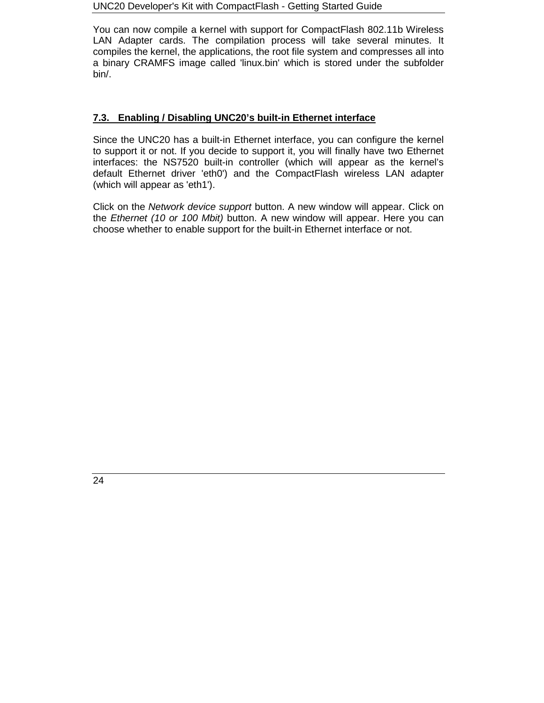You can now compile a kernel with support for CompactFlash 802.11b Wireless LAN Adapter cards. The compilation process will take several minutes. It compiles the kernel, the applications, the root file system and compresses all into a binary CRAMFS image called 'linux.bin' which is stored under the subfolder bin/.

## **7.3. Enabling / Disabling UNC20's built-in Ethernet interface**

Since the UNC20 has a built-in Ethernet interface, you can configure the kernel to support it or not. If you decide to support it, you will finally have two Ethernet interfaces: the NS7520 built-in controller (which will appear as the kernel's default Ethernet driver 'eth0') and the CompactFlash wireless LAN adapter (which will appear as 'eth1').

Click on the *Network device support* button. A new window will appear. Click on the *Ethernet (10 or 100 Mbit)* button. A new window will appear. Here you can choose whether to enable support for the built-in Ethernet interface or not.